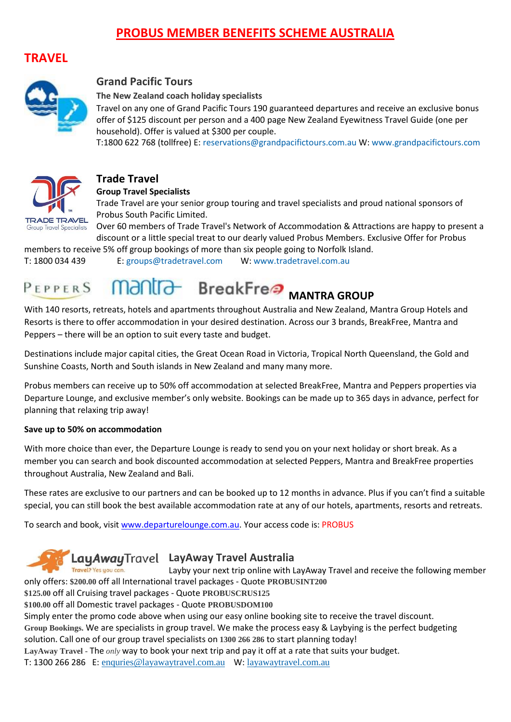## **PROBUS MEMBER BENEFITS SCHEME AUSTRALIA**

#### **TRAVEL**



#### **Grand Pacific Tours**

**The New Zealand coach holiday specialists**

Travel on any one of Grand Pacific Tours 190 guaranteed departures and receive an exclusive bonus offer of \$125 discount per person and a 400 page New Zealand Eyewitness Travel Guide (one per household). Offer is valued at \$300 per couple.

T:1800 622 768 (tollfree) E: [reservations@grandpacifictours.com.au](mailto:%20reservations@grandpacifictours.com.au) W: [www.grandpacifictours.com](http://www.grandpacifictours.com/)



#### **Trade Travel**

**Group Travel Specialists**

Trade Travel are your senior group touring and travel specialists and proud national sponsors of Probus South Pacific Limited.

Over 60 members of Trade Travel's Network of Accommodation & Attractions are happy to present a discount or a little special treat to our dearly valued Probus Members. Exclusive Offer for Probus

members to receive 5% off group bookings of more than six people going to Norfolk Island. T: 1800 034 439 E: [groups@tradetravel.com](mailto:groups@tradetravel.com) W: [www.tradetravel.com.au](http://www.tradetravel.com.au/about-trade-travel/probus-member-benefits-scheme/)

#### **Mantra-BreakFree** MANTRA GROUP  $P$ FPPFRS

With 140 resorts, retreats, hotels and apartments throughout Australia and New Zealand, Mantra Group Hotels and Resorts is there to offer accommodation in your desired destination. Across our 3 brands, BreakFree, Mantra and Peppers – there will be an option to suit every taste and budget.

Destinations include major capital cities, the Great Ocean Road in Victoria, Tropical North Queensland, the Gold and Sunshine Coasts, North and South islands in New Zealand and many many more.

Probus members can receive up to 50% off accommodation at selected BreakFree, Mantra and Peppers properties via Departure Lounge, and exclusive member's only website. Bookings can be made up to 365 days in advance, perfect for planning that relaxing trip away!

#### **Save up to 50% on accommodation**

With more choice than ever, the Departure Lounge is ready to send you on your next holiday or short break. As a member you can search and book discounted accommodation at selected Peppers, Mantra and BreakFree properties throughout Australia, New Zealand and Bali.

These rates are exclusive to our partners and can be booked up to 12 months in advance. Plus if you can't find a suitable special, you can still book the best available accommodation rate at any of our hotels, apartments, resorts and retreats.

To search and book, visit [www.departurelounge.com.au.](http://www.departurelounge.com.au/) Your access code is: PROBUS

## LayAwayTravel LayAway Travel Australia

Layby your next trip online with LayAway Travel and receive the following member only offers: **\$200.00** off all International travel packages - Quote **PROBUSINT200**

**\$125.00** off all Cruising travel packages - Quote **PROBUSCRUS125**

**\$100.00** off all Domestic travel packages - Quote **PROBUSDOM100**

Simply enter the promo code above when using our easy online booking site to receive the travel discount.

**Group Bookings.** We are specialists in group travel. We make the process easy & Laybying is the perfect budgeting solution**.** Call one of our group travel specialists on **1300 266 286** to start planning today!

**LayAway Travel -** The *only* way to book your next trip and pay it off at a rate that suits your budget.

T: 1300 266 286 E: [enquries@layawaytravel.com.au](mailto:enquries@layawaytravel.com.au) W: [layawaytravel.com.au](http://www.probussouthpacific.org/pages/edit/layawaytravel.com.au)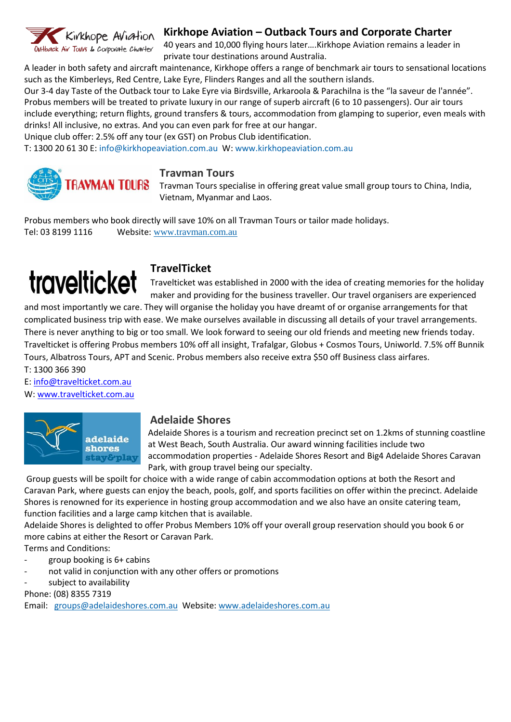

#### **Kirkhope Aviation – Outback Tours and Corporate Charter**

40 years and 10,000 flying hours later….Kirkhope Aviation remains a leader in private tour destinations around Australia.

A leader in both safety and aircraft maintenance, Kirkhope offers a range of benchmark air tours to sensational locations such as the Kimberleys, Red Centre, Lake Eyre, Flinders Ranges and all the southern islands.

Our 3-4 day Taste of the Outback tour to Lake Eyre via Birdsville, Arkaroola & Parachilna is the "la saveur de l'année". Probus members will be treated to private luxury in our range of superb aircraft (6 to 10 passengers). Our air tours include everything; return flights, ground transfers & tours, accommodation from glamping to superior, even meals with drinks! All inclusive, no extras. And you can even park for free at our hangar.

Unique club offer: 2.5% off any tour (ex GST) on Probus Club identification.

T: 1300 20 61 30 E[: info@kirkhopeaviation.com.au](mailto:info@kirkhopeaviation.com.au) W: [www.kirkhopeaviation.com.au](http://www.kirkhopeaviation.com.au/)



#### **Travman Tours**

**TRAVMAN TOURS** Travman Tours specialise in offering great value small group tours to China, India, Vietnam, Myanmar and Laos.

Probus members who book directly will save 10% on all Travman Tours or tailor made holidays. Tel: 03 8199 1116 Website: [www.travman.com.au](http://www.travman.com.au/)

## **travelticket**

#### **TravelTicket**

Travelticket was established in 2000 with the idea of creating memories for the holiday maker and providing for the business traveller. Our travel organisers are experienced

and most importantly we care. They will organise the holiday you have dreamt of or organise arrangements for that complicated business trip with ease. We make ourselves available in discussing all details of your travel arrangements. There is never anything to big or too small. We look forward to seeing our old friends and meeting new friends today. Travelticket is offering Probus members 10% off all insight, Trafalgar, Globus + Cosmos Tours, Uniworld. 7.5% off Bunnik Tours, Albatross Tours, APT and Scenic. Probus members also receive extra \$50 off Business class airfares.

T: 1300 366 390 E: [info@travelticket.com.au](mailto:info@travelticket.com.au)

W[: www.travelticket.com.au](http://www.travelticket.com.au/)



#### **Adelaide Shores**

Adelaide Shores is a tourism and recreation precinct set on 1.2kms of stunning coastline at West Beach, South Australia. Our award winning facilities include two accommodation properties - Adelaide Shores Resort and Big4 Adelaide Shores Caravan Park, with group travel being our specialty.

Group guests will be spoilt for choice with a wide range of cabin accommodation options at both the Resort and Caravan Park, where guests can enjoy the beach, pools, golf, and sports facilities on offer within the precinct. Adelaide Shores is renowned for its experience in hosting group accommodation and we also have an onsite catering team, function facilities and a large camp kitchen that is available.

Adelaide Shores is delighted to offer Probus Members 10% off your overall group reservation should you book 6 or more cabins at either the Resort or Caravan Park.

Terms and Conditions:

- group booking is 6+ cabins
- not valid in conjunction with any other offers or promotions
- subject to availability

Phone: (08) 8355 7319

Email: [groups@adelaideshores.com.au](mailto:groups@adelaideshores.com.au) Website: [www.adelaideshores.com.au](http://www.adelaideshores.com.au/)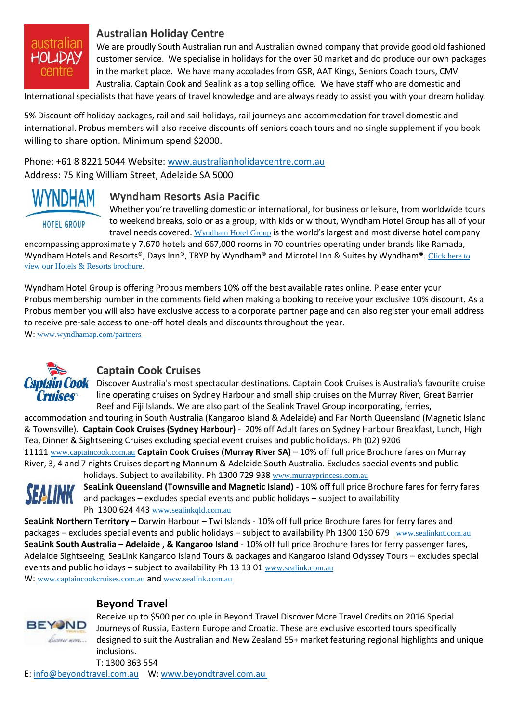

#### **Australian Holiday Centre**

We are proudly South Australian run and Australian owned company that provide good old fashioned customer service. We specialise in holidays for the over 50 market and do produce our own packages in the market place. We have many accolades from GSR, AAT Kings, Seniors Coach tours, CMV Australia, Captain Cook and Sealink as a top selling office. We have staff who are domestic and

International specialists that have years of travel knowledge and are always ready to assist you with your dream holiday.

5% Discount off holiday packages, rail and sail holidays, rail journeys and accommodation for travel domestic and international. Probus members will also receive discounts off seniors coach tours and no single supplement if you book willing to share option. Minimum spend \$2000.

Phone: +61 8 8221 5044 Website: [www.australianholidaycentre.com.au](http://www.australianholidaycentre.com.au/) Address: 75 King William Street, Adelaide SA 5000

# HOTEL GROUP

#### **Wyndham Resorts Asia Pacific**

Whether you're travelling domestic or international, for business or leisure, from worldwide tours to weekend breaks, solo or as a group, with kids or without, Wyndham Hotel Group has all of your travel needs covered. [Wyndham Hotel Group](http://www.wyndhamap.com/wps/wcm/connect/Wyndham/home/Hotel-Group/Deals-Discounts/Closed-User-Groups/wyndham-partners) is the world's largest and most diverse hotel company

encompassing approximately 7,670 hotels and 667,000 rooms in 70 countries operating under brands like Ramada, Wyndham Hotels and Resorts®, Days Inn®, TRYP by Wyndham® and Microtel Inn & Suites by Wyndham®. [Click here to](http://www.wyndhamap.com/wps/wcm/connect/97e2a585-e574-4e5d-96ad-35f8191a37ff/WHG+brochure+Feb+15.pdf?MOD=AJPERES)  [view our Hotels & Resorts brochure.](http://www.wyndhamap.com/wps/wcm/connect/97e2a585-e574-4e5d-96ad-35f8191a37ff/WHG+brochure+Feb+15.pdf?MOD=AJPERES)

Wyndham Hotel Group is offering Probus members 10% off the best available rates online. Please enter your Probus membership number in the comments field when making a booking to receive your exclusive 10% discount. As a Probus member you will also have exclusive access to a corporate partner page and can also register your email address to receive pre-sale access to one-off hotel deals and discounts throughout the year.

W: [www.wyndhamap.com/partners](http://www.wyndhamap.com/partners)



#### **Captain Cook Cruises**

**OOK** Discover Australia's most spectacular destinations. Captain Cook Cruises is Australia's favourite cruise line operating cruises on Sydney Harbour and small ship cruises on the Murray River, Great Barrier Reef and Fiji Islands. We are also part of the Sealink Travel Group incorporating, ferries,

accommodation and touring in South Australia (Kangaroo Island & Adelaide) and Far North Queensland (Magnetic Island & Townsville). **Captain Cook Cruises (Sydney Harbour)** - 20% off Adult fares on Sydney Harbour Breakfast, Lunch, High Tea, Dinner & Sightseeing Cruises excluding special event cruises and public holidays. Ph (02) 9206 11111 [www.captaincook.com.au](http://www.captaincook.com.au/) **Captain Cook Cruises (Murray River SA)** – 10% off full price Brochure fares on Murray River, 3, 4 and 7 nights Cruises departing Mannum & Adelaide South Australia. Excludes special events and public



holidays. Subject to availability. Ph 1300 729 938 [www.murrayprincess.com.au](http://www.murrayprincess.com.au/) **SeaLink Queensland (Townsville and Magnetic Island)** - 10% off full price Brochure fares for ferry fares and packages – excludes special events and public holidays – subject to availability Ph 1300 624 443 [www.sealinkqld.com.au](http://www.sealinkqld.com.au/)

**SeaLink Northern Territory** – Darwin Harbour – Twi Islands - 10% off full price Brochure fares for ferry fares and packages – excludes special events and public holidays – subject to availability Ph 1300 130 679 [www.sealinknt.com.au](http://www.sealinknt.com.au/) **SeaLink South Australia – Adelaide , & Kangaroo Island** - 10% off full price Brochure fares for ferry passenger fares, Adelaide Sightseeing, SeaLink Kangaroo Island Tours & packages and Kangaroo Island Odyssey Tours – excludes special events and public holidays – subject to availability Ph 13 13 01 [www.sealink.com.au](http://www.sealink.com.au/) W: [www.captaincookcruises.com.au](http://www.captaincook.com.au/) and [www.sealink.com.au](http://www.sealink.com.au/)

**BEYOND** discover more...

#### **Beyond Travel**

Receive up to \$500 per couple in Beyond Travel Discover More Travel Credits on 2016 Special Journeys of Russia, Eastern Europe and Croatia. These are exclusive escorted tours specifically designed to suit the Australian and New Zealand 55+ market featuring regional highlights and unique inclusions.

T: 1300 363 554 E: [info@beyondtravel.com.au](mailto:%20info@beyondtravel.com.au) W: [www.beyondtravel.com.au](http://www.beyondtravel.com.au/)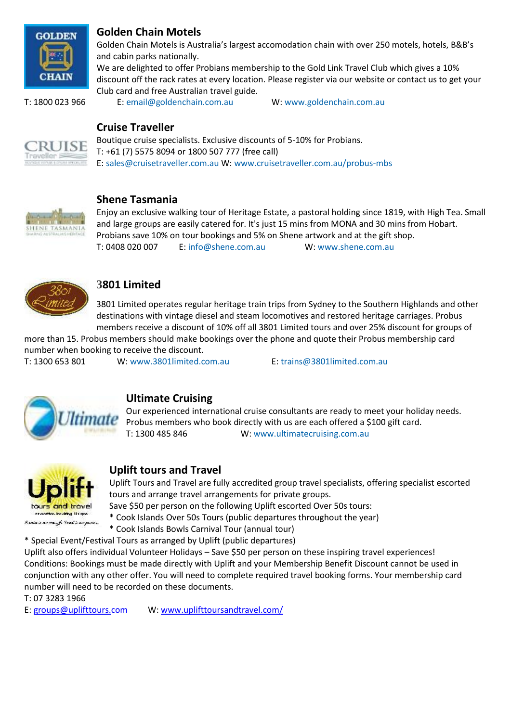

#### **Golden Chain Motels**

Golden Chain Motels is Australia's largest accomodation chain with over 250 motels, hotels, B&B's and cabin parks nationally.

We are delighted to offer Probians membership to the Gold Link Travel Club which gives a 10% discount off the rack rates at every location. Please register via our website or contact us to get your Club card and free Australian travel guide.

T: 1800 023 966 E: [email@goldenchain.com.au](mailto:email@goldenchain.com.au) W: [www.goldenchain.com.au](http://www.goldenchain.com.au/)

**Cruise Traveller**



Boutique cruise specialists. Exclusive discounts of 5-10% for Probians. T: +61 (7) 5575 8094 or 1800 507 777 (free call) E: [sales@cruisetraveller.com.au](mailto:sales@cruisetraveller.com.au) W: [www.cruisetraveller.com.au/probus-mbs](http://www.cruisetraveller.com.au/probus-mbs)



#### **Shene Tasmania**

Enjoy an exclusive walking tour of Heritage Estate, a pastoral holding since 1819, with High Tea. Small and large groups are easily catered for. It's just 15 mins from MONA and 30 mins from Hobart. Probians save 10% on tour bookings and 5% on Shene artwork and at the gift shop. T: 0408 020 007 E: [info@shene.com.au](mailto:info@shene.com.au) W: [www.shene.com.au](http://www.shene.com.au/)



#### **3801 Limited**

3801 Limited operates regular heritage train trips from Sydney to the Southern Highlands and other destinations with vintage diesel and steam locomotives and restored heritage carriages. Probus members receive a discount of 10% off all 3801 Limited tours and over 25% discount for groups of

more than 15. Probus members should make bookings over the phone and quote their Probus membership card number when booking to receive the discount.

T: 1300 653 801 W: [www.3801limited.com.au](http://www.3801limited.com.au/) E: [trains@3801limited.com.au](mailto:trains@3801limited.com.au)



## **Ultimate Cruising**

Our experienced international cruise consultants are ready to meet your holiday needs. Probus members who book directly with us are each offered a \$100 gift card. T: 1300 485 846 W: [www.ultimatecruising.com.au](http://www.ultimatecruising.com.au/)



#### **Uplift tours and Travel**

Uplift Tours and Travel are fully accredited group travel specialists, offering specialist escorted tours and arrange travel arrangements for private groups.

Save \$50 per person on the following Uplift escorted Over 50s tours:

\* Cook Islands Over 50s Tours (public departures throughout the year)

\* Cook Islands Bowls Carnival Tour (annual tour)

\* Special Event/Festival Tours as arranged by Uplift (public departures)

Uplift also offers individual Volunteer Holidays – Save \$50 per person on these inspiring travel experiences! Conditions: Bookings must be made directly with Uplift and your Membership Benefit Discount cannot be used in conjunction with any other offer. You will need to complete required travel booking forms. Your membership card number will need to be recorded on these documents.

T: 07 3283 1966

E: [groups@uplifttours.com](mailto:groups@uplifttours.com) W: [www.uplifttoursandtravel.com/](http://www.uplifttoursandtravel.com/)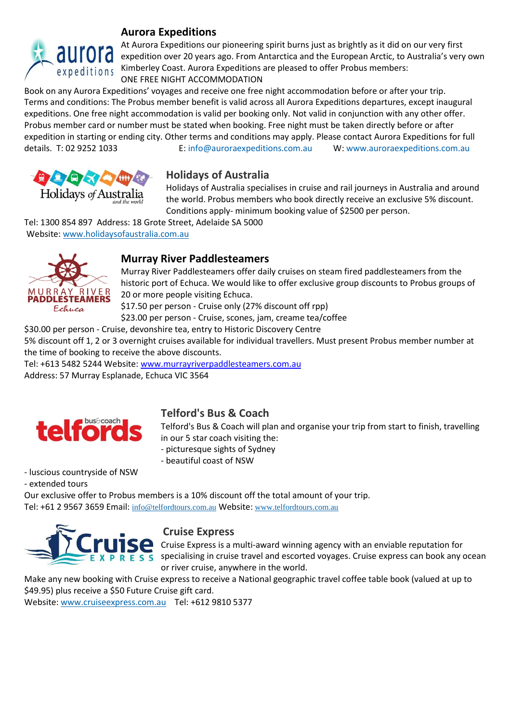

#### **Aurora Expeditions**

At Aurora Expeditions our pioneering spirit burns just as brightly as it did on our very first at Au Antonia Expeditions our ploneering spirit burns just as brightly as it did on our very inst<br>and the European Arctic, to Australia's very own expeditions Kimberley Coast. Aurora Expeditions are pleased to offer Probus members: ONE FREE NIGHT ACCOMMODATION

Book on any Aurora Expeditions' voyages and receive one free night accommodation before or after your trip. Terms and conditions: The Probus member benefit is valid across all Aurora Expeditions departures, except inaugural expeditions. One free night accommodation is valid per booking only. Not valid in conjunction with any other offer. Probus member card or number must be stated when booking. Free night must be taken directly before or after expedition in starting or ending city. Other terms and conditions may apply. Please contact Aurora Expeditions for full details. T: 02 9252 1033 E: [info@auroraexpeditions.com.au](mailto:info@auroraexpeditions.com.au) W: [www.auroraexpeditions.com.au](http://www.auroraexpeditions.com.au/)



#### **Holidays of Australia**

Holidays of Australia specialises in cruise and rail journeys in Australia and around the world. Probus members who book directly receive an exclusive 5% discount. Conditions apply- minimum booking value of \$2500 per person.

Tel: 1300 854 897 Address: 18 Grote Street, Adelaide SA 5000 Website: [www.holidaysofaustralia.com.au](http://www.holidaysofaustralia.com.au/) 



#### **Murray River Paddlesteamers**

Murray River Paddlesteamers offer daily cruises on steam fired paddlesteamers from the historic port of Echuca. We would like to offer exclusive group discounts to Probus groups of 20 or more people visiting Echuca.

\$17.50 per person - Cruise only (27% discount off rpp)

\$23.00 per person - Cruise, scones, jam, creame tea/coffee

\$30.00 per person - Cruise, devonshire tea, entry to Historic Discovery Centre

5% discount off 1, 2 or 3 overnight cruises available for individual travellers. Must present Probus member number at the time of booking to receive the above discounts.

Tel: +613 5482 5244 Website: [www.murrayriverpaddlesteamers.com.au](http://www.murrayriverpaddlesteamers.com.au/) Address: 57 Murray Esplanade, Echuca VIC 3564



#### **Telford's Bus & Coach**

Telford's Bus & Coach will plan and organise your trip from start to finish, travelling in our 5 star coach visiting the:

- picturesque sights of Sydney
- beautiful coast of NSW

- luscious countryside of NSW

- extended tours

Our exclusive offer to Probus members is a 10% discount off the total amount of your trip. Tel: +61 2 9567 3659 Email: [info@telfordtours.com.au](mailto:info@telfordtours.com.au) Website: [www.telfordtours.com.au](http://www.telfordtours.com.au/)



#### **Cruise Express**

Cruise Express is a multi-award winning agency with an enviable reputation for specialising in cruise travel and escorted voyages. Cruise express can book any ocean or river cruise, anywhere in the world.

Make any new booking with Cruise express to receive a National geographic travel coffee table book (valued at up to \$49.95) plus receive a \$50 Future Cruise gift card.

Website: [www.cruiseexpress.com.au](http://www.cruiseexpress.com.au/) Tel: +612 9810 5377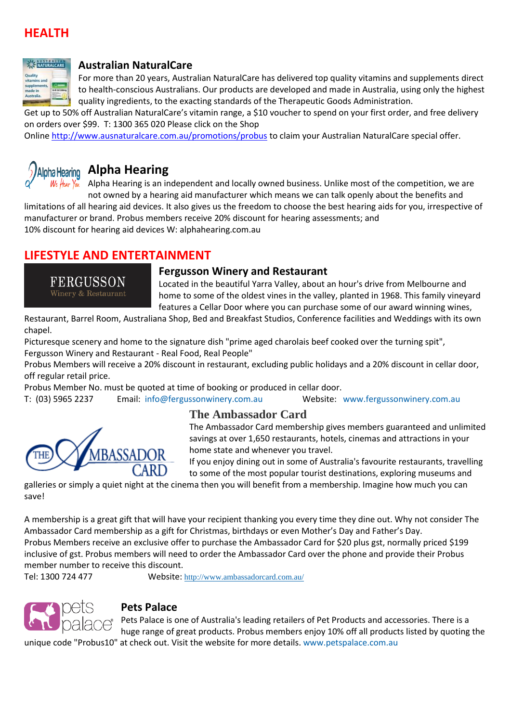## **HEALTH**



#### **[Australian NaturalCare](http://www.ausnaturalcare.com.au/)**

For more than 20 years, Australian NaturalCare has delivered top quality vitamins and supplements direct to health-conscious Australians. Our products are developed and made in Australia, using only the highest quality ingredients, to the exacting standards of the Therapeutic Goods Administration.

Get up to 50% off Australian NaturalCare's vitamin range, a \$10 voucher to spend on your first order, and free delivery on orders over \$99. T: 1300 365 020 Please click on the Shop

Online <http://www.ausnaturalcare.com.au/promotions/probus> to claim your Australian NaturalCare special offer.



## **Alpha Hearing**

Alpha Hearing is an independent and locally owned business. Unlike most of the competition, we are not owned by a hearing aid manufacturer which means we can talk openly about the benefits and

limitations of all hearing aid devices. It also gives us the freedom to choose the best hearing aids for you, irrespective of manufacturer or brand. Probus members receive 20% discount for hearing assessments; and 10% discount for hearing aid devices W: [alphahearing.com.au](http://alphahearing.com.au/)

## **LIFESTYLE AND ENTERTAINMENT**

FERGUSSON Winery & Restaurant

#### **Fergusson Winery and Restaurant**

Located in the beautiful Yarra Valley, about an hour's drive from Melbourne and home to some of the oldest vines in the valley, planted in 1968. This family vineyard features a Cellar Door where you can purchase some of our award winning wines,

Restaurant, Barrel Room, Australiana Shop, Bed and Breakfast Studios, Conference facilities and Weddings with its own chapel.

Picturesque scenery and home to the signature dish "prime aged charolais beef cooked over the turning spit", Fergusson Winery and Restaurant - Real Food, Real People"

Probus Members will receive a 20% discount in restaurant, excluding public holidays and a 20% discount in cellar door, off regular retail price.

Probus Member No. must be quoted at time of booking or produced in cellar door.

T: (03) 5965 2237 Email: [info@fergussonwinery.com.au](mailto:info@fergussonwinery.com.au) Website: [www.fergussonwinery.com.au](http://www.fergussonwinery.com.au/)



#### **The Ambassador Card**

The Ambassador Card membership gives members guaranteed and unlimited savings at over 1,650 restaurants, hotels, cinemas and attractions in your home state and whenever you travel.

If you enjoy dining out in some of Australia's favourite restaurants, travelling to some of the most popular tourist destinations, exploring museums and

galleries or simply a quiet night at the cinema then you will benefit from a membership. Imagine how much you can save!

A membership is a great gift that will have your recipient thanking you every time they dine out. Why not consider The Ambassador Card membership as a gift for Christmas, birthdays or even Mother's Day and Father's Day. Probus Members receive an exclusive offer to purchase the Ambassador Card for \$20 plus gst, normally priced \$199 inclusive of gst. Probus members will need to order the Ambassador Card over the phone and provide their Probus member number to receive this discount.

Tel: 1300 724 477 Website: <http://www.ambassadorcard.com.au/>



#### **Pets Palace**

Pets Palace is one of Australia's leading retailers of Pet Products and accessories. There is a huge range of great products. Probus members enjoy 10% off all products listed by quoting the

unique code "Probus10" at check out. Visit the website for more details. [www.petspalace.com.au](http://www.petspalace.com.au/)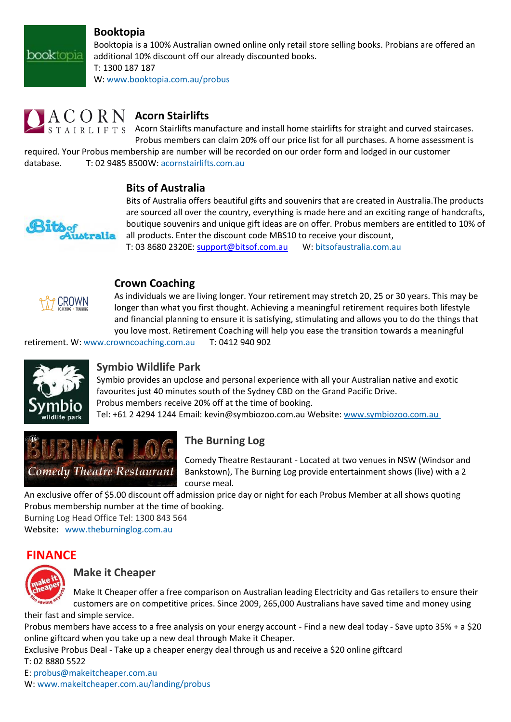#### **Booktopia**

Booktopia is a 100% Australian owned online only retail store selling books. Probians are offered an additional 10% discount off our already discounted books. T: 1300 187 187

W: [www.booktopia.com.au/probus](http://www.booktopia.com.au/probus)

## $C$   $O$   $R$   $N$   $\,$  Acorn Stairlifts

A I R L I F T S Acorn Stairlifts manufacture and install home stairlifts for straight and curved staircases. Probus members can claim 20% off our price list for all purchases. A home assessment is

required. Your Probus membership are number will be recorded on our order form and lodged in our customer database. T: 02 9485 8500W: [acornstairlifts.com.au](http://www.acornstairlifts.com.au/)

#### **Bits of Australia**



**book**topia

Bits of Australia offers beautiful gifts and souvenirs that are created in Australia.The products are sourced all over the country, everything is made here and an exciting range of handcrafts, boutique souvenirs and unique gift ideas are on offer. Probus members are entitled to 10% of all products. Enter the discount code MBS10 to receive your discount, T: 03 8680 2320E: [support@bitsof.com.au](mailto:support@bitsof.com.au) W: [bitsofaustralia.com.au](http://www.bitsofaustralia.com.au/)



#### **Crown Coaching**

As individuals we are living longer. Your retirement may stretch 20, 25 or 30 years. This may be longer than what you first thought. Achieving a meaningful retirement requires both lifestyle and financial planning to ensure it is satisfying, stimulating and allows you to do the things that you love most. Retirement Coaching will help you ease the transition towards a meaningful

retirement. W: [www.crowncoaching.com.au](http://www.crowncoaching.com.au/) T: 0412 940 902



#### **Symbio Wildlife Park**

Symbio provides an upclose and personal experience with all your Australian native and exotic favourites just 40 minutes south of the Sydney CBD on the Grand Pacific Drive. Probus members receive 20% off at the time of booking. Tel: +61 2 4294 1244 Email: kevin@symbiozoo.com.au Website: [www.symbiozoo.com.au](http://www.symbiozoo.com.au/)



## **The Burning Log**

Comedy Theatre Restaurant - Located at two venues in NSW (Windsor and Bankstown), The Burning Log provide entertainment shows (live) with a 2 course meal.

An exclusive offer of \$5.00 discount off admission price day or night for each Probus Member at all shows quoting Probus membership number at the time of booking. Burning Log Head Office Tel: 1300 843 564

Website: [www.theburninglog.com.au](http://www.theburninglog.com.au/)

## **FINANCE**



#### **Make it Cheaper**

Make It Cheaper offer a free comparison on Australian leading Electricity and Gas retailers to ensure their customers are on competitive prices. Since 2009, 265,000 Australians have saved time and money using

their fast and simple service.

Probus members have access to a free analysis on your energy account - Find a new deal today - Save upto 35% + a \$20 online giftcard when you take up a new deal through Make it Cheaper.

Exclusive Probus Deal - Take up a cheaper energy deal through us and receive a \$20 online giftcard T: 02 8880 5522

#### E: [probus@makeitcheaper.com.au](mailto:probus@makeitcheaper.com.au)

W: [www.makeitcheaper.com.au/landing/probus](http://www.makeitcheaper.com.au/landing/probus)